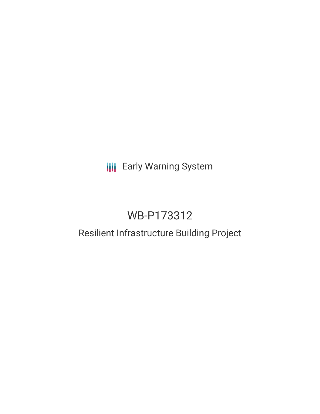## **III** Early Warning System

# WB-P173312

### Resilient Infrastructure Building Project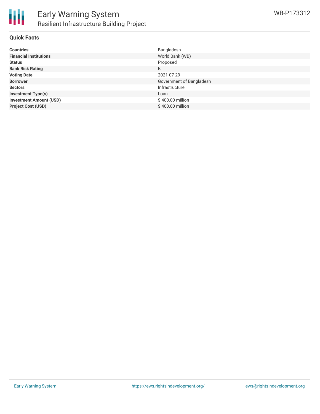

#### **Quick Facts**

| <b>Countries</b>               | Bangladesh               |
|--------------------------------|--------------------------|
| <b>Financial Institutions</b>  | World Bank (WB)          |
| <b>Status</b>                  | Proposed                 |
| <b>Bank Risk Rating</b>        | B                        |
| <b>Voting Date</b>             | 2021-07-29               |
| <b>Borrower</b>                | Government of Bangladesh |
| <b>Sectors</b>                 | Infrastructure           |
| <b>Investment Type(s)</b>      | Loan                     |
| <b>Investment Amount (USD)</b> | \$400.00 million         |
| <b>Project Cost (USD)</b>      | \$400.00 million         |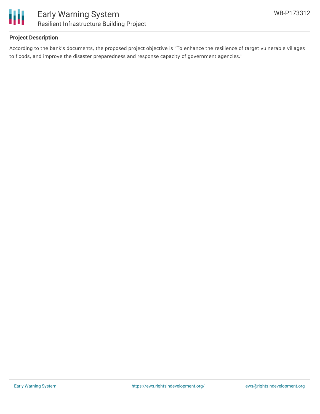

#### **Project Description**

According to the bank's documents, the proposed project objective is "To enhance the resilience of target vulnerable villages to floods, and improve the disaster preparedness and response capacity of government agencies."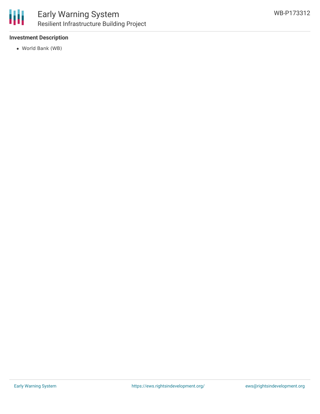

#### **Investment Description**

World Bank (WB)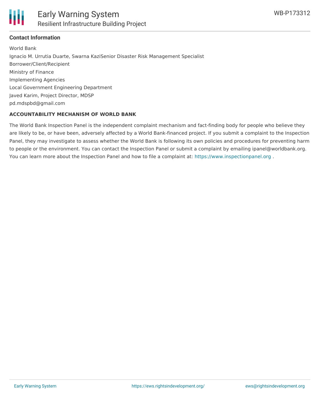

#### **Contact Information**

World Bank Ignacio M. Urrutia Duarte, Swarna KaziSenior Disaster Risk Management Specialist Borrower/Client/Recipient Ministry of Finance Implementing Agencies Local Government Engineering Department Javed Karim, Project Director, MDSP pd.mdspbd@gmail.com

#### **ACCOUNTABILITY MECHANISM OF WORLD BANK**

The World Bank Inspection Panel is the independent complaint mechanism and fact-finding body for people who believe they are likely to be, or have been, adversely affected by a World Bank-financed project. If you submit a complaint to the Inspection Panel, they may investigate to assess whether the World Bank is following its own policies and procedures for preventing harm to people or the environment. You can contact the Inspection Panel or submit a complaint by emailing ipanel@worldbank.org. You can learn more about the Inspection Panel and how to file a complaint at: <https://www.inspectionpanel.org>.